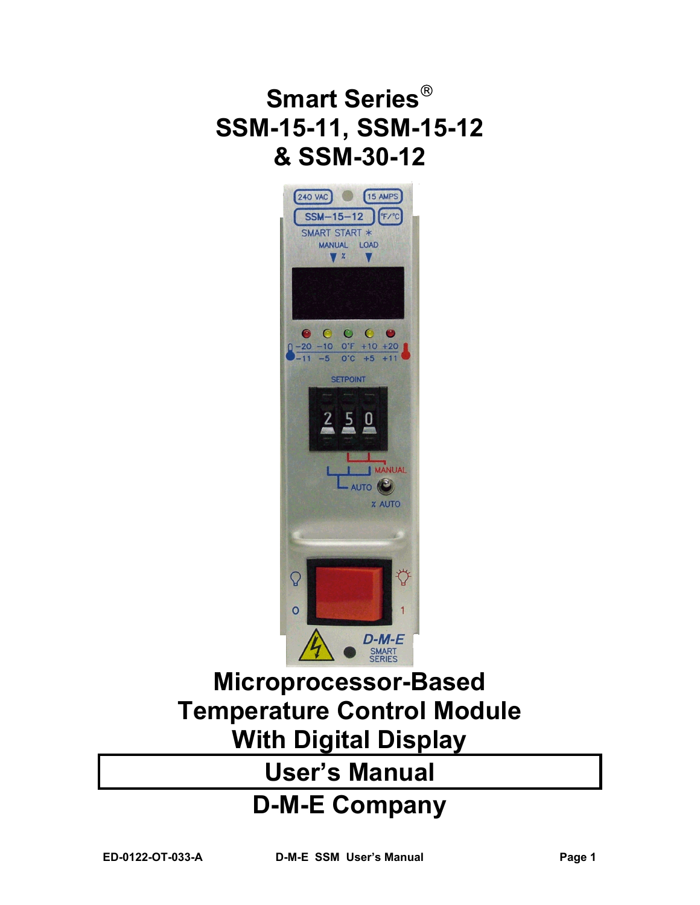# **Smart Series SSM-15-11, SSM-15-12 & SSM-30-12**



# **Microprocessor-Based Temperature Control Module With Digital Display**

# **User's Manual**

# **D-M-E Company**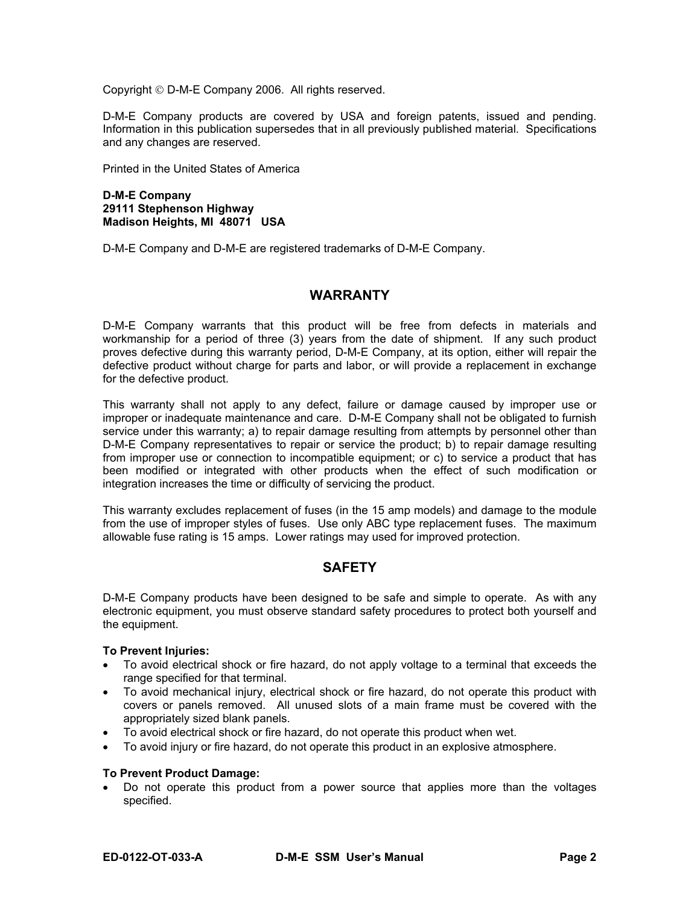Copyright D-M-E Company 2006. All rights reserved.

D-M-E Company products are covered by USA and foreign patents, issued and pending. Information in this publication supersedes that in all previously published material. Specifications and any changes are reserved.

Printed in the United States of America

**D-M-E Company 29111 Stephenson Highway Madison Heights, MI 48071 USA** 

D-M-E Company and D-M-E are registered trademarks of D-M-E Company.

### **WARRANTY**

D-M-E Company warrants that this product will be free from defects in materials and workmanship for a period of three (3) years from the date of shipment. If any such product proves defective during this warranty period, D-M-E Company, at its option, either will repair the defective product without charge for parts and labor, or will provide a replacement in exchange for the defective product.

This warranty shall not apply to any defect, failure or damage caused by improper use or improper or inadequate maintenance and care. D-M-E Company shall not be obligated to furnish service under this warranty; a) to repair damage resulting from attempts by personnel other than D-M-E Company representatives to repair or service the product; b) to repair damage resulting from improper use or connection to incompatible equipment; or c) to service a product that has been modified or integrated with other products when the effect of such modification or integration increases the time or difficulty of servicing the product.

This warranty excludes replacement of fuses (in the 15 amp models) and damage to the module from the use of improper styles of fuses. Use only ABC type replacement fuses. The maximum allowable fuse rating is 15 amps. Lower ratings may used for improved protection.

### **SAFETY**

D-M-E Company products have been designed to be safe and simple to operate. As with any electronic equipment, you must observe standard safety procedures to protect both yourself and the equipment.

#### **To Prevent Injuries:**

- To avoid electrical shock or fire hazard, do not apply voltage to a terminal that exceeds the range specified for that terminal.
- To avoid mechanical injury, electrical shock or fire hazard, do not operate this product with covers or panels removed. All unused slots of a main frame must be covered with the appropriately sized blank panels.
- To avoid electrical shock or fire hazard, do not operate this product when wet.
- To avoid injury or fire hazard, do not operate this product in an explosive atmosphere.

#### **To Prevent Product Damage:**

• Do not operate this product from a power source that applies more than the voltages specified.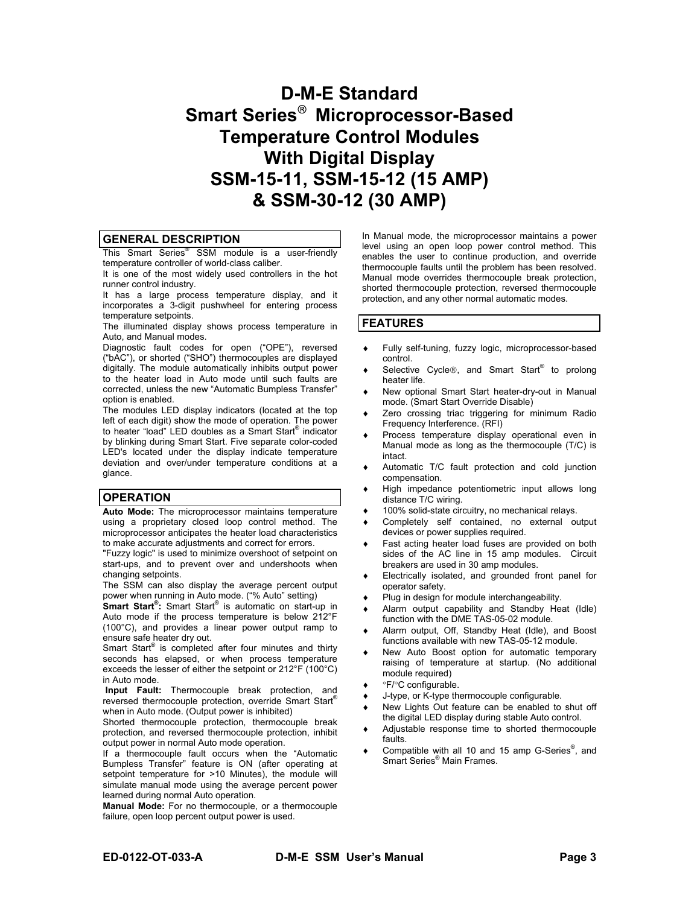# **D-M-E Standard Smart Series Microprocessor-Based Temperature Control Modules With Digital Display SSM-15-11, SSM-15-12 (15 AMP) & SSM-30-12 (30 AMP)**

#### **GENERAL DESCRIPTION**

This Smart Series<sup>®</sup> SSM module is a user-friendly temperature controller of world-class caliber.

It is one of the most widely used controllers in the hot runner control industry.

It has a large process temperature display, and it incorporates a 3-digit pushwheel for entering process temperature setpoints.

The illuminated display shows process temperature in Auto, and Manual modes.

Diagnostic fault codes for open ("OPE"), reversed ("bAC"), or shorted ("SHO") thermocouples are displayed digitally. The module automatically inhibits output power to the heater load in Auto mode until such faults are corrected, unless the new "Automatic Bumpless Transfer" option is enabled.

The modules LED display indicators (located at the top left of each digit) show the mode of operation. The power to heater "load" LED doubles as a Smart Start® indicator by blinking during Smart Start. Five separate color-coded LED's located under the display indicate temperature deviation and over/under temperature conditions at a glance.

#### **OPERATION**

**Auto Mode:** The microprocessor maintains temperature using a proprietary closed loop control method. The microprocessor anticipates the heater load characteristics to make accurate adjustments and correct for errors.

"Fuzzy logic" is used to minimize overshoot of setpoint on start-ups, and to prevent over and undershoots when changing setpoints.

The SSM can also display the average percent output power when running in Auto mode. ("% Auto" setting)

**Smart Start® :** Smart Start® is automatic on start-up in Auto mode if the process temperature is below 212°F (100°C), and provides a linear power output ramp to ensure safe heater dry out.

Smart Start<sup>®</sup> is completed after four minutes and thirty seconds has elapsed, or when process temperature exceeds the lesser of either the setpoint or 212°F (100°C) in Auto mode.

 **Input Fault:** Thermocouple break protection, and reversed thermocouple protection, override Smart Start® when in Auto mode. (Output power is inhibited)

Shorted thermocouple protection, thermocouple break protection, and reversed thermocouple protection, inhibit output power in normal Auto mode operation.

If a thermocouple fault occurs when the "Automatic Bumpless Transfer" feature is ON (after operating at setpoint temperature for >10 Minutes), the module will simulate manual mode using the average percent power learned during normal Auto operation.

**Manual Mode:** For no thermocouple, or a thermocouple failure, open loop percent output power is used.

In Manual mode, the microprocessor maintains a power level using an open loop power control method. This enables the user to continue production, and override thermocouple faults until the problem has been resolved. Manual mode overrides thermocouple break protection, shorted thermocouple protection, reversed thermocouple protection, and any other normal automatic modes.

#### **FEATURES**

- ♦ Fully self-tuning, fuzzy logic, microprocessor-based control.
- ◆ Selective Cycle®, and Smart Start<sup>®</sup> to prolong heater life.
- New optional Smart Start heater-dry-out in Manual mode. (Smart Start Override Disable)
- Zero crossing triac triggering for minimum Radio Frequency Interference. (RFI)
- ♦ Process temperature display operational even in Manual mode as long as the thermocouple (T/C) is intact.
- Automatic T/C fault protection and cold junction compensation.
- ♦ High impedance potentiometric input allows long distance T/C wiring.
- ♦ 100% solid-state circuitry, no mechanical relays.
- ♦ Completely self contained, no external output devices or power supplies required.
- ♦ Fast acting heater load fuses are provided on both sides of the AC line in 15 amp modules. Circuit breakers are used in 30 amp modules.
- Electrically isolated, and grounded front panel for operator safety.
- Plug in design for module interchangeability.
- Alarm output capability and Standby Heat (Idle) function with the DME TAS-05-02 module.
- ♦ Alarm output, Off, Standby Heat (Idle), and Boost functions available with new TAS-05-12 module.
- ♦ New Auto Boost option for automatic temporary raising of temperature at startup. (No additional module required)
- °F/°C configurable.
- J-type, or K-type thermocouple configurable.
- ♦ New Lights Out feature can be enabled to shut off the digital LED display during stable Auto control.
- Adjustable response time to shorted thermocouple faults.
- ♦ Compatible with all 10 and 15 amp G-Series® , and Smart Series® Main Frames.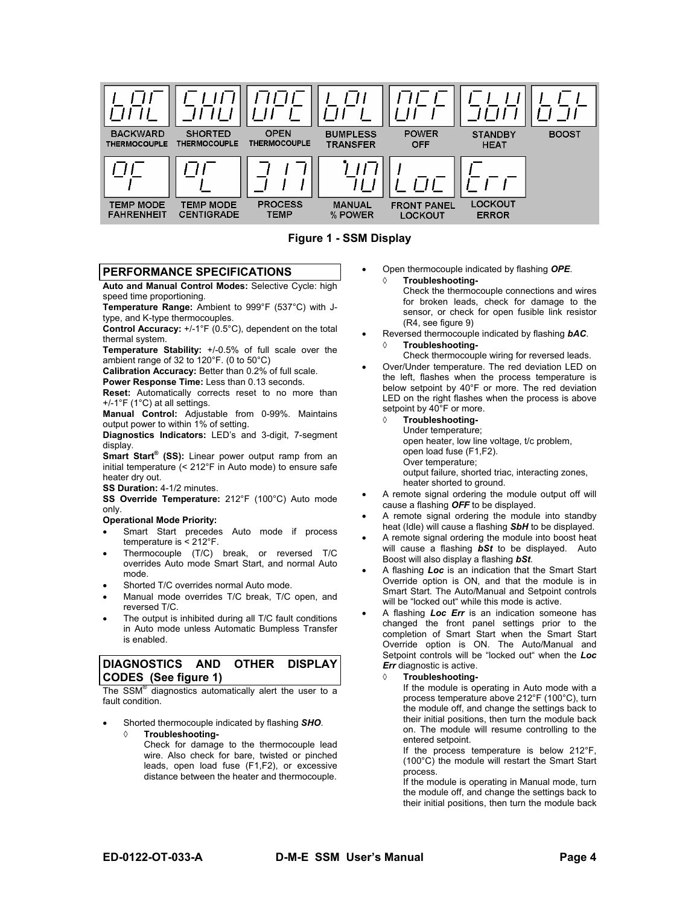

**Figure 1 - SSM Display** 

#### **PERFORMANCE SPECIFICATIONS**

**Auto and Manual Control Modes:** Selective Cycle: high speed time proportioning.

**Temperature Range:** Ambient to 999°F (537°C) with Jtype, and K-type thermocouples.

**Control Accuracy:** +/-1°F (0.5°C), dependent on the total thermal system.

**Temperature Stability:** +/-0.5% of full scale over the ambient range of 32 to 120°F. (0 to 50°C)

**Calibration Accuracy:** Better than 0.2% of full scale.

**Power Response Time:** Less than 0.13 seconds.

**Reset:** Automatically corrects reset to no more than +/-1°F (1°C) at all settings.

**Manual Control:** Adjustable from 0-99%. Maintains output power to within 1% of setting.

**Diagnostics Indicators:** LED's and 3-digit, 7-segment display.

**Smart Start® (SS):** Linear power output ramp from an initial temperature (< 212°F in Auto mode) to ensure safe heater dry out.

**SS Duration:** 4-1/2 minutes.

**SS Override Temperature:** 212°F (100°C) Auto mode only.

#### **Operational Mode Priority:**

- Smart Start precedes Auto mode if process temperature is < 212°F.
- Thermocouple (T/C) break, or reversed T/C overrides Auto mode Smart Start, and normal Auto mode.
- Shorted T/C overrides normal Auto mode.
- Manual mode overrides T/C break, T/C open, and reversed T/C.
- The output is inhibited during all T/C fault conditions in Auto mode unless Automatic Bumpless Transfer is enabled.

#### **DIAGNOSTICS AND OTHER DISPLAY CODES (See figure 1)**

The SSM<sup>®</sup> diagnostics automatically alert the user to a fault condition.

- Shorted thermocouple indicated by flashing *SHO*.
	- ◊ **Troubleshooting-**Check for damage to the thermocouple lead wire. Also check for bare, twisted or pinched leads, open load fuse (F1,F2), or excessive distance between the heater and thermocouple.

• Open thermocouple indicated by flashing *OPE*. **Troubleshooting-**

> Check the thermocouple connections and wires for broken leads, check for damage to the sensor, or check for open fusible link resistor (R4, see figure 9)

- Reversed thermocouple indicated by flashing *bAC*.
- ◊ **Troubleshooting-**Check thermocouple wiring for reversed leads.
- Over/Under temperature. The red deviation LED on the left, flashes when the process temperature is below setpoint by 40°F or more. The red deviation LED on the right flashes when the process is above setpoint by 40°F or more.
	- ◊ **Troubleshooting-**
		- Under temperature;

open heater, low line voltage, t/c problem, open load fuse (F1,F2).

Over temperature;

output failure, shorted triac, interacting zones, heater shorted to ground.

- A remote signal ordering the module output off will cause a flashing *OFF* to be displayed.
- A remote signal ordering the module into standby heat (Idle) will cause a flashing *SbH* to be displayed.
- A remote signal ordering the module into boost heat will cause a flashing *bSt* to be displayed. Auto Boost will also display a flashing *bSt*.
- A flashing *Loc* is an indication that the Smart Start Override option is ON, and that the module is in Smart Start. The Auto/Manual and Setpoint controls will be "locked out" while this mode is active.
- A flashing *Loc Err* is an indication someone has changed the front panel settings prior to the completion of Smart Start when the Smart Start Override option is ON. The Auto/Manual and Setpoint controls will be "locked out" when the *Loc Err* diagnostic is active.

#### ◊ **Troubleshooting-**

If the module is operating in Auto mode with a process temperature above 212°F (100°C), turn the module off, and change the settings back to their initial positions, then turn the module back on. The module will resume controlling to the entered setpoint.

If the process temperature is below 212°F, (100°C) the module will restart the Smart Start process.

If the module is operating in Manual mode, turn the module off, and change the settings back to their initial positions, then turn the module back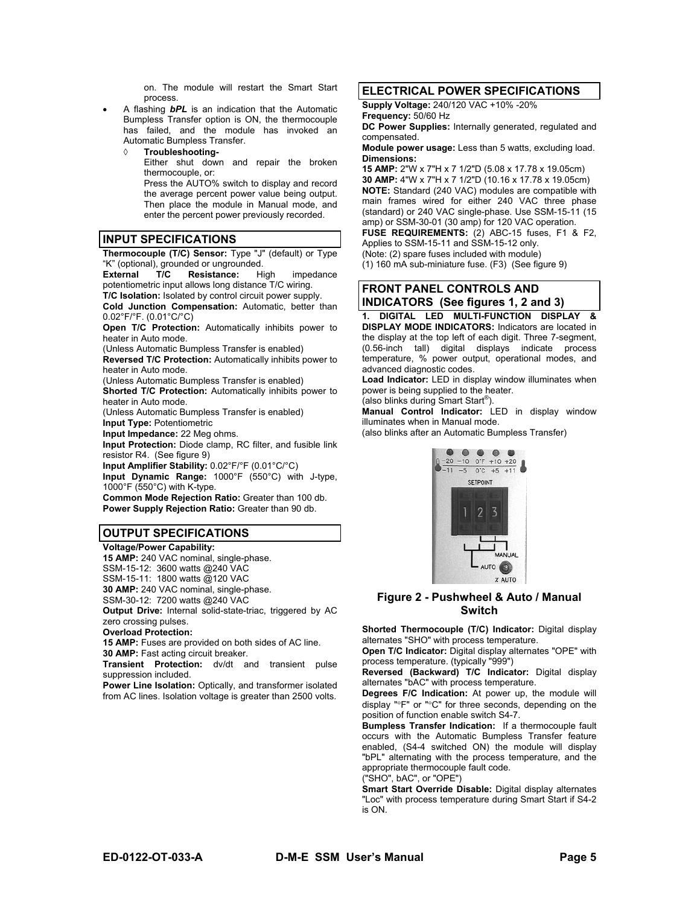on. The module will restart the Smart Start process.

• A flashing *bPL* is an indication that the Automatic Bumpless Transfer option is ON, the thermocouple has failed, and the module has invoked an Automatic Bumpless Transfer.

◊ **Troubleshooting-**Either shut down and repair the broken thermocouple, or: Press the AUTO% switch to display and record the average percent power value being output. Then place the module in Manual mode, and

enter the percent power previously recorded.

#### **INPUT SPECIFICATIONS**

**Thermocouple (T/C) Sensor:** Type "J" (default) or Type "K" (optional), grounded or ungrounded.

**External T/C Resistance:** High impedance potentiometric input allows long distance T/C wiring. **T/C Isolation:** Isolated by control circuit power supply.

**Cold Junction Compensation:** Automatic, better than 0.02°F/°F. (0.01°C/°C)

**Open T/C Protection:** Automatically inhibits power to heater in Auto mode.

(Unless Automatic Bumpless Transfer is enabled)

**Reversed T/C Protection:** Automatically inhibits power to heater in Auto mode.

(Unless Automatic Bumpless Transfer is enabled) **Shorted T/C Protection:** Automatically inhibits power to

heater in Auto mode.

(Unless Automatic Bumpless Transfer is enabled) **Input Type:** Potentiometric

**Input Impedance:** 22 Meg ohms.

**Input Protection:** Diode clamp, RC filter, and fusible link resistor R4. (See figure 9)

**Input Amplifier Stability:** 0.02°F/°F (0.01°C/°C)

**Input Dynamic Range:** 1000°F (550°C) with J-type, 1000°F (550°C) with K-type.

**Common Mode Rejection Ratio:** Greater than 100 db. **Power Supply Rejection Ratio:** Greater than 90 db.

#### **OUTPUT SPECIFICATIONS**

**Voltage/Power Capability: 15 AMP:** 240 VAC nominal, single-phase. SSM-15-12: 3600 watts @240 VAC

SSM-15-11: 1800 watts @120 VAC

**30 AMP:** 240 VAC nominal, single-phase.

SSM-30-12: 7200 watts @240 VAC

**Output Drive:** Internal solid-state-triac, triggered by AC zero crossing pulses.

**Overload Protection:**

**15 AMP:** Fuses are provided on both sides of AC line.

**30 AMP:** Fast acting circuit breaker.

**Transient Protection:** dv/dt and transient pulse suppression included.

**Power Line Isolation:** Optically, and transformer isolated from AC lines. Isolation voltage is greater than 2500 volts.

#### **ELECTRICAL POWER SPECIFICATIONS**

**Supply Voltage:** 240/120 VAC +10% -20%

**Frequency:** 50/60 Hz

**DC Power Supplies:** Internally generated, regulated and compensated.

**Module power usage:** Less than 5 watts, excluding load. **Dimensions:**

**15 AMP:** 2"W x 7"H x 7 1/2"D (5.08 x 17.78 x 19.05cm) **30 AMP:** 4"W x 7"H x 7 1/2"D (10.16 x 17.78 x 19.05cm) **NOTE:** Standard (240 VAC) modules are compatible with main frames wired for either 240 VAC three phase (standard) or 240 VAC single-phase. Use SSM-15-11 (15 amp) or SSM-30-01 (30 amp) for 120 VAC operation.

**FUSE REQUIREMENTS:** (2) ABC-15 fuses, F1 & F2, Applies to SSM-15-11 and SSM-15-12 only.

(Note: (2) spare fuses included with module)

(1) 160 mA sub-miniature fuse. (F3) (See figure 9)

## **FRONT PANEL CONTROLS AND**

**INDICATORS (See figures 1, 2 and 3)** 

**1. DIGITAL LED MULTI-FUNCTION DISPLAY & DISPLAY MODE INDICATORS:** Indicators are located in the display at the top left of each digit. Three 7-segment, (0*.*56-inch tall) digital displays indicate process temperature, % power output, operational modes, and advanced diagnostic codes.

**Load Indicator:** LED in display window illuminates when power is being supplied to the heater.

(also blinks during Smart Start® ).

**Manual Control Indicator:** LED in display window illuminates when in Manual mode.

(also blinks after an Automatic Bumpless Transfer)



**Figure 2 - Pushwheel & Auto / Manual Switch**

**Shorted Thermocouple (T/C) Indicator:** Digital display alternates "SHO" with process temperature.

**Open T/C Indicator:** Digital display alternates "OPE" with process temperature. (typically "999")

**Reversed (Backward) T/C Indicator:** Digital display alternates "bAC" with process temperature.

**Degrees F/C Indication:** At power up, the module will display "°F" or "°C" for three seconds, depending on the position of function enable switch S4-7.

**Bumpless Transfer Indication:** If a thermocouple fault occurs with the Automatic Bumpless Transfer feature enabled, (S4-4 switched ON) the module will display "bPL" alternating with the process temperature, and the appropriate thermocouple fault code.

("SHO", bAC", or "OPE")

**Smart Start Override Disable:** Digital display alternates "Loc" with process temperature during Smart Start if S4-2 is ON.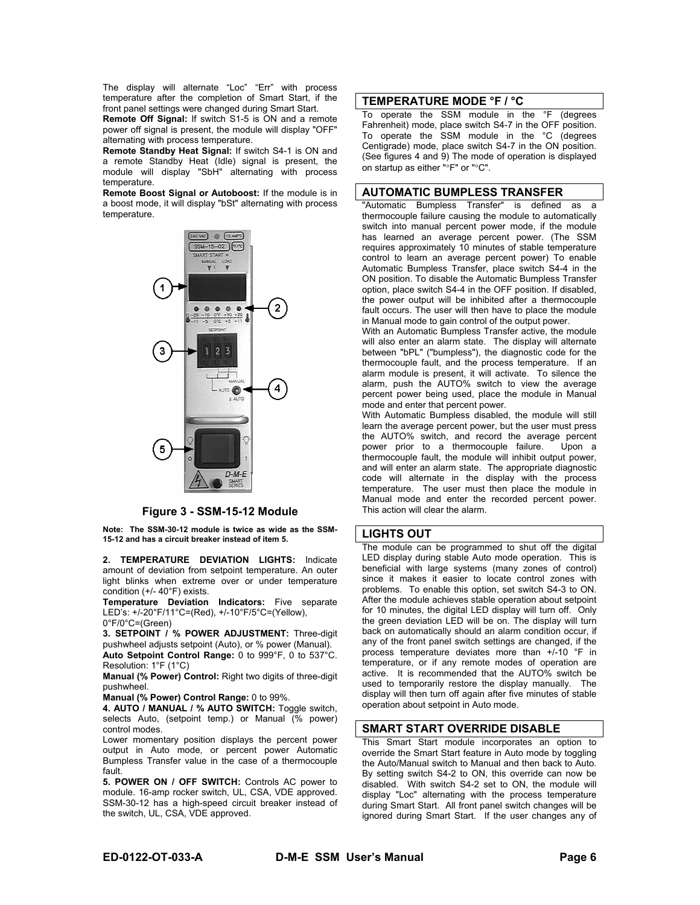The display will alternate "Loc" "Err" with process temperature after the completion of Smart Start, if the front panel settings were changed during Smart Start.

**Remote Off Signal:** If switch S1-5 is ON and a remote power off signal is present, the module will display "OFF" alternating with process temperature.

**Remote Standby Heat Signal:** If switch S4-1 is ON and a remote Standby Heat (Idle) signal is present, the module will display "SbH" alternating with process temperature.

**Remote Boost Signal or Autoboost:** If the module is in a boost mode, it will display "bSt" alternating with process temperature.



**Figure 3 - SSM-15-12 Module**

**Note: The SSM-30-12 module is twice as wide as the SSM-15-12 and has a circuit breaker instead of item 5.** 

**2. TEMPERATURE DEVIATION LIGHTS:** Indicate amount of deviation from setpoint temperature. An outer light blinks when extreme over or under temperature condition (+/- 40°F) exists.

**Temperature Deviation Indicators:** Five separate LED's: +/-20°F/11°C=(Red), +/-10°F/5°C=(Yellow), 0°F/0°C=(Green)

**3. SETPOINT / % POWER ADJUSTMENT:** Three-digit pushwheel adjusts setpoint (Auto), or % power (Manual). **Auto Setpoint Control Range:** 0 to 999°F, 0 to 537°C. Resolution: 1°F (1°C)

**Manual (% Power) Control:** Right two digits of three-digit pushwheel.

**Manual (% Power) Control Range:** 0 to 99%.

**4. AUTO / MANUAL / % AUTO SWITCH:** Toggle switch, selects Auto, (setpoint temp.) or Manual (% power) control modes.

Lower momentary position displays the percent power output in Auto mode, or percent power Automatic Bumpless Transfer value in the case of a thermocouple fault.

**5. POWER ON / OFF SWITCH:** Controls AC power to module. 16-amp rocker switch, UL, CSA, VDE approved. SSM-30-12 has a high-speed circuit breaker instead of the switch, UL, CSA, VDE approved.

#### **TEMPERATURE MODE °F / °C**

To operate the SSM module in the °F (degrees Fahrenheit) mode, place switch S4-7 in the OFF position. To operate the SSM module in the °C (degrees Centigrade) mode, place switch S4-7 in the ON position. (See figures 4 and 9) The mode of operation is displayed on startup as either "°F" or "°C".

#### **AUTOMATIC BUMPLESS TRANSFER**

"Automatic Bumpless Transfer" is defined as a thermocouple failure causing the module to automatically switch into manual percent power mode, if the module has learned an average percent power. (The SSM requires approximately 10 minutes of stable temperature control to learn an average percent power) To enable Automatic Bumpless Transfer, place switch S4-4 in the ON position. To disable the Automatic Bumpless Transfer option, place switch S4-4 in the OFF position. If disabled, the power output will be inhibited after a thermocouple fault occurs. The user will then have to place the module in Manual mode to gain control of the output power.

With an Automatic Bumpless Transfer active, the module will also enter an alarm state. The display will alternate between "bPL" ("bumpless"), the diagnostic code for the thermocouple fault, and the process temperature. If an alarm module is present, it will activate. To silence the alarm, push the AUTO% switch to view the average percent power being used, place the module in Manual mode and enter that percent power.

With Automatic Bumpless disabled, the module will still learn the average percent power, but the user must press the AUTO% switch, and record the average percent power prior to a thermocouple failure. Upon a thermocouple fault, the module will inhibit output power, and will enter an alarm state. The appropriate diagnostic code will alternate in the display with the process temperature. The user must then place the module in Manual mode and enter the recorded percent power. This action will clear the alarm.

#### **LIGHTS OUT**

The module can be programmed to shut off the digital LED display during stable Auto mode operation. This is beneficial with large systems (many zones of control) since it makes it easier to locate control zones with problems. To enable this option, set switch S4-3 to ON. After the module achieves stable operation about setpoint for 10 minutes, the digital LED display will turn off. Only the green deviation LED will be on. The display will turn back on automatically should an alarm condition occur, if any of the front panel switch settings are changed, if the process temperature deviates more than +/-10 °F in temperature, or if any remote modes of operation are active. It is recommended that the AUTO% switch be used to temporarily restore the display manually. The display will then turn off again after five minutes of stable operation about setpoint in Auto mode.

#### **SMART START OVERRIDE DISABLE**

This Smart Start module incorporates an option to override the Smart Start feature in Auto mode by toggling the Auto/Manual switch to Manual and then back to Auto. By setting switch S4-2 to ON, this override can now be disabled. With switch S4-2 set to ON, the module will display "Loc" alternating with the process temperature during Smart Start. All front panel switch changes will be ignored during Smart Start. If the user changes any of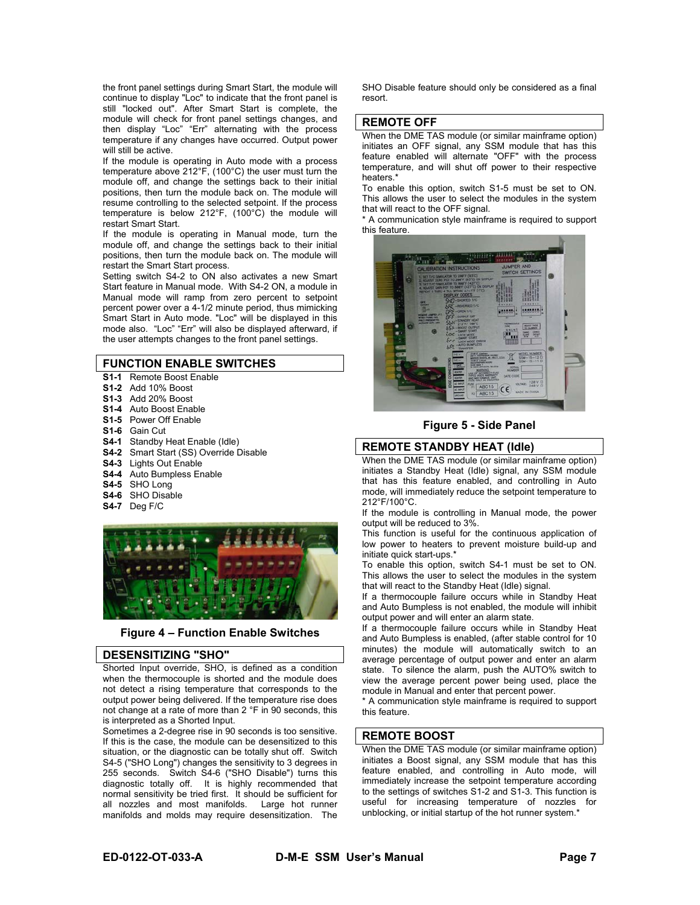the front panel settings during Smart Start, the module will continue to display "Loc" to indicate that the front panel is still "locked out". After Smart Start is complete, the module will check for front panel settings changes, and then display "Loc" "Err" alternating with the process temperature if any changes have occurred. Output power will still be active.

If the module is operating in Auto mode with a process temperature above 212°F, (100°C) the user must turn the module off, and change the settings back to their initial positions, then turn the module back on. The module will resume controlling to the selected setpoint. If the process temperature is below 212°F, (100°C) the module will restart Smart Start.

If the module is operating in Manual mode, turn the module off, and change the settings back to their initial positions, then turn the module back on. The module will restart the Smart Start process.

Setting switch S4-2 to ON also activates a new Smart Start feature in Manual mode. With S4-2 ON, a module in Manual mode will ramp from zero percent to setpoint percent power over a 4-1/2 minute period, thus mimicking Smart Start in Auto mode. "Loc" will be displayed in this mode also. "Loc" "Err" will also be displayed afterward, if the user attempts changes to the front panel settings.

#### **FUNCTION ENABLE SWITCHES**

- **S1-1** Remote Boost Enable
- **S1-2** Add 10% Boost
- **S1-3** Add 20% Boost
- **S1-4** Auto Boost Enable
- **S1-5** Power Off Enable
- **S1-6** Gain Cut
- **S4-1** Standby Heat Enable (Idle)
- **S4-2** Smart Start (SS) Override Disable
- **S4-3** Lights Out Enable
- **S4-4** Auto Bumpless Enable
- **S4-5** SHO Long
- **S4-6** SHO Disable
- **S4-7** Deg F/C



#### **Figure 4 – Function Enable Switches**

#### **DESENSITIZING "SHO"**

Shorted Input override, SHO, is defined as a condition when the thermocouple is shorted and the module does not detect a rising temperature that corresponds to the output power being delivered. If the temperature rise does not change at a rate of more than 2 °F in 90 seconds, this is interpreted as a Shorted Input.

Sometimes a 2-degree rise in 90 seconds is too sensitive. If this is the case, the module can be desensitized to this situation, or the diagnostic can be totally shut off. Switch S4-5 ("SHO Long") changes the sensitivity to 3 degrees in 255 seconds. Switch S4-6 ("SHO Disable") turns this diagnostic totally off. It is highly recommended that normal sensitivity be tried first. It should be sufficient for all nozzles and most manifolds. Large hot runner manifolds and molds may require desensitization. The

SHO Disable feature should only be considered as a final resort.

#### **REMOTE OFF**

When the DME TAS module (or similar mainframe option) initiates an OFF signal, any SSM module that has this feature enabled will alternate "OFF" with the process temperature, and will shut off power to their respective heaters.\*

To enable this option, switch S1-5 must be set to ON. This allows the user to select the modules in the system that will react to the OFF signal.

\* A communication style mainframe is required to support this feature.



**Figure 5 - Side Panel**

#### **REMOTE STANDBY HEAT (Idle)**

When the DME TAS module (or similar mainframe option) initiates a Standby Heat (Idle) signal, any SSM module that has this feature enabled, and controlling in Auto mode, will immediately reduce the setpoint temperature to 212°F/100°C.

If the module is controlling in Manual mode, the power output will be reduced to 3%.

This function is useful for the continuous application of low power to heaters to prevent moisture build-up and initiate quick start-ups.\*

To enable this option, switch S4-1 must be set to ON. This allows the user to select the modules in the system that will react to the Standby Heat (Idle) signal.

If a thermocouple failure occurs while in Standby Heat and Auto Bumpless is not enabled, the module will inhibit output power and will enter an alarm state.

If a thermocouple failure occurs while in Standby Heat and Auto Bumpless is enabled, (after stable control for 10 minutes) the module will automatically switch to an average percentage of output power and enter an alarm state. To silence the alarm, push the AUTO% switch to view the average percent power being used, place the module in Manual and enter that percent power.

\* A communication style mainframe is required to support this feature.

#### **REMOTE BOOST**

When the DME TAS module (or similar mainframe option) initiates a Boost signal, any SSM module that has this feature enabled, and controlling in Auto mode, will immediately increase the setpoint temperature according to the settings of switches S1-2 and S1-3. This function is useful for increasing temperature of nozzles for unblocking, or initial startup of the hot runner system.\*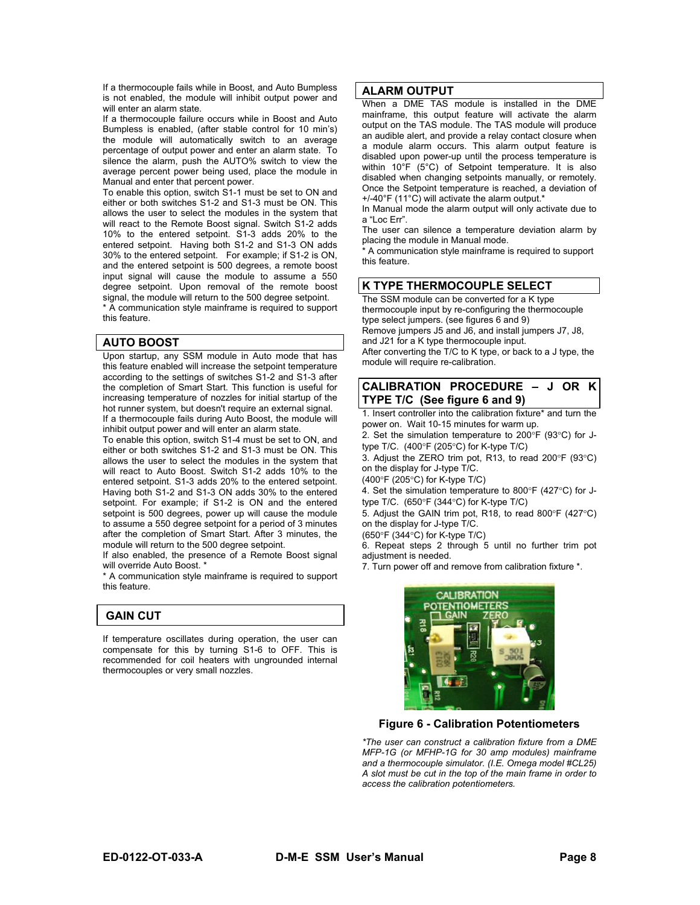If a thermocouple fails while in Boost, and Auto Bumpless is not enabled, the module will inhibit output power and will enter an alarm state.

If a thermocouple failure occurs while in Boost and Auto Bumpless is enabled, (after stable control for 10 min's) the module will automatically switch to an average percentage of output power and enter an alarm state. To silence the alarm, push the AUTO% switch to view the average percent power being used, place the module in Manual and enter that percent power.

To enable this option, switch S1-1 must be set to ON and either or both switches S1-2 and S1-3 must be ON. This allows the user to select the modules in the system that will react to the Remote Boost signal. Switch S1-2 adds 10% to the entered setpoint. S1-3 adds 20% to the entered setpoint. Having both S1-2 and S1-3 ON adds 30% to the entered setpoint. For example; if S1-2 is ON, and the entered setpoint is 500 degrees, a remote boost input signal will cause the module to assume a 550 degree setpoint. Upon removal of the remote boost signal, the module will return to the 500 degree setpoint.

\* A communication style mainframe is required to support this feature.

#### **AUTO BOOST**

Upon startup, any SSM module in Auto mode that has this feature enabled will increase the setpoint temperature according to the settings of switches S1-2 and S1-3 after the completion of Smart Start. This function is useful for increasing temperature of nozzles for initial startup of the hot runner system, but doesn't require an external signal. If a thermocouple fails during Auto Boost, the module will inhibit output power and will enter an alarm state.

To enable this option, switch S1-4 must be set to ON, and either or both switches S1-2 and S1-3 must be ON. This allows the user to select the modules in the system that will react to Auto Boost. Switch S1-2 adds 10% to the entered setpoint. S1-3 adds 20% to the entered setpoint. Having both S1-2 and S1-3 ON adds 30% to the entered setpoint. For example; if S1-2 is ON and the entered setpoint is 500 degrees, power up will cause the module to assume a 550 degree setpoint for a period of 3 minutes after the completion of Smart Start. After 3 minutes, the module will return to the 500 degree setpoint.

If also enabled, the presence of a Remote Boost signal will override Auto Boost. \*

\* A communication style mainframe is required to support this feature.

### **GAIN CUT**

If temperature oscillates during operation, the user can compensate for this by turning S1-6 to OFF. This is recommended for coil heaters with ungrounded internal thermocouples or very small nozzles.

#### **ALARM OUTPUT**

When a DME TAS module is installed in the DME mainframe, this output feature will activate the alarm output on the TAS module. The TAS module will produce an audible alert, and provide a relay contact closure when a module alarm occurs. This alarm output feature is disabled upon power-up until the process temperature is within 10°F (5°C) of Setpoint temperature. It is also disabled when changing setpoints manually, or remotely. Once the Setpoint temperature is reached, a deviation of +/-40°F (11°C) will activate the alarm output.\*

In Manual mode the alarm output will only activate due to a "Loc Err".

The user can silence a temperature deviation alarm by placing the module in Manual mode.

\* A communication style mainframe is required to support this feature.

#### **K TYPE THERMOCOUPLE SELECT**

The SSM module can be converted for a K type thermocouple input by re-configuring the thermocouple type select jumpers. (see figures 6 and 9) Remove jumpers J5 and J6, and install jumpers J7, J8, and J21 for a K type thermocouple input.

After converting the T/C to K type, or back to a J type, the module will require re-calibration.

#### **CALIBRATION PROCEDURE – J OR K TYPE T/C (See figure 6 and 9)**

1. Insert controller into the calibration fixture\* and turn the power on. Wait 10-15 minutes for warm up.

2. Set the simulation temperature to 200°F (93°C) for Jtype T/C. (400°F (205°C) for K-type T/C)

3. Adjust the ZERO trim pot, R13, to read 200°F (93°C) on the display for J-type T/C.

(400°F (205°C) for K-type T/C)

4. Set the simulation temperature to 800°F (427°C) for Jtype T/C. (650°F (344°C) for K-type T/C)

5. Adjust the GAIN trim pot, R18, to read 800°F (427°C) on the display for J-type T/C.

(650°F (344°C) for K-type T/C)

6. Repeat steps 2 through 5 until no further trim pot adjustment is needed.

7. Turn power off and remove from calibration fixture \*.



#### **Figure 6 - Calibration Potentiometers**

*\*The user can construct a calibration fixture from a DME MFP-1G (or MFHP-1G for 30 amp modules) mainframe and a thermocouple simulator. (I.E. Omega model #CL25) A slot must be cut in the top of the main frame in order to access the calibration potentiometers.*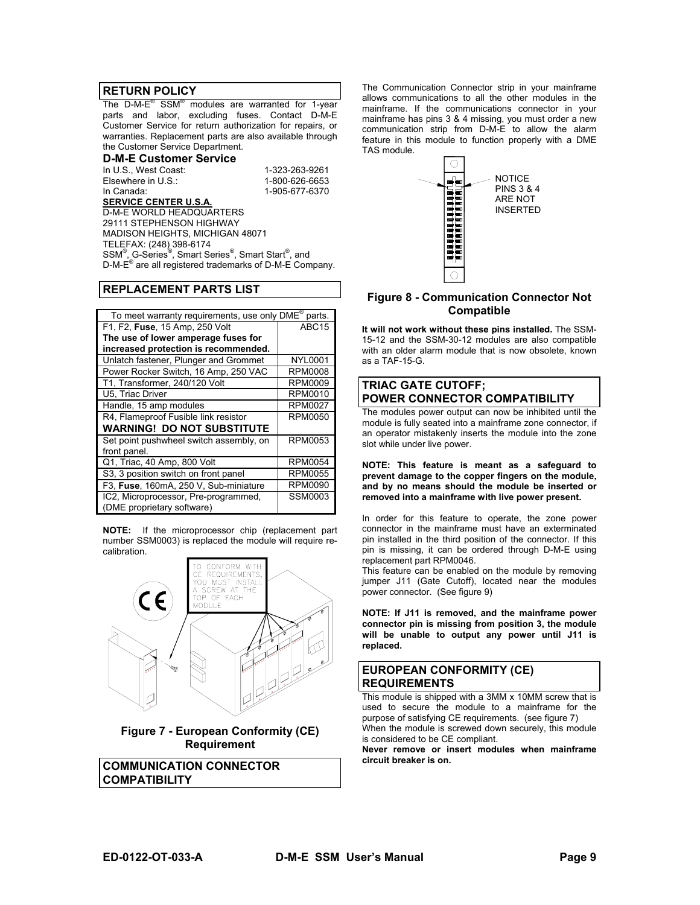#### **RETURN POLICY**

The D-M-E® SSM® modules are warranted for 1-year parts and labor, excluding fuses. Contact D-M-E Customer Service for return authorization for repairs, or warranties. Replacement parts are also available through the Customer Service Department.

#### **D-M-E Customer Service**

In U.S., West Coast: 1-323-263-9261<br>Elsewhere in U.S.: 1-800-626-6653 Elsewhere in U.S.: In Canada: 1-905-677-6370

**SERVICE CENTER U.S.A.** D-M-E WORLD HEADQUARTERS 29111 STEPHENSON HIGHWAY MADISON HEIGHTS, MICHIGAN 48071 TELEFAX: (248) 398-6174 SSM<sup>®</sup>, G-Series<sup>®</sup>, Smart Series<sup>®</sup>, Smart Start<sup>®</sup>, and D-M-E® are all registered trademarks of D-M-E Company.

#### **REPLACEMENT PARTS LIST**

| To meet warranty requirements, use only DME <sup>®</sup> parts. |                   |  |
|-----------------------------------------------------------------|-------------------|--|
| F1, F2, Fuse, 15 Amp, 250 Volt                                  | ABC <sub>15</sub> |  |
| The use of lower amperage fuses for                             |                   |  |
| increased protection is recommended.                            |                   |  |
| Unlatch fastener, Plunger and Grommet                           | NYL0001           |  |
| Power Rocker Switch, 16 Amp, 250 VAC                            | <b>RPM0008</b>    |  |
| T1, Transformer, 240/120 Volt                                   | <b>RPM0009</b>    |  |
| U5, Triac Driver                                                | RPM0010           |  |
| Handle, 15 amp modules                                          | RPM0027           |  |
| R4, Flameproof Fusible link resistor                            | RPM0050           |  |
| <b>WARNING! DO NOT SUBSTITUTE</b>                               |                   |  |
| Set point pushwheel switch assembly, on                         | <b>RPM0053</b>    |  |
| front panel.                                                    |                   |  |
| Q1, Triac, 40 Amp, 800 Volt                                     | <b>RPM0054</b>    |  |
| S3, 3 position switch on front panel                            | <b>RPM0055</b>    |  |
| F3, Fuse, 160mA, 250 V, Sub-miniature                           | RPM0090           |  |
| IC2, Microprocessor, Pre-programmed,                            | SSM0003           |  |
| (DME proprietary software)                                      |                   |  |

**NOTE:** If the microprocessor chip (replacement part number SSM0003) is replaced the module will require recalibration.



**Figure 7 - European Conformity (CE) Requirement** 

**COMMUNICATION CONNECTOR COMPATIBILITY** 

The Communication Connector strip in your mainframe allows communications to all the other modules in the mainframe. If the communications connector in your mainframe has pins 3 & 4 missing, you must order a new communication strip from D-M-E to allow the alarm feature in this module to function properly with a DME TAS module.



#### **Figure 8 - Communication Connector Not Compatible**

**It will not work without these pins installed.** The SSM-15-12 and the SSM-30-12 modules are also compatible with an older alarm module that is now obsolete, known as a TAF-15-G.

### **TRIAC GATE CUTOFF; POWER CONNECTOR COMPATIBILITY**

The modules power output can now be inhibited until the module is fully seated into a mainframe zone connector, if an operator mistakenly inserts the module into the zone slot while under live power.

**NOTE: This feature is meant as a safeguard to prevent damage to the copper fingers on the module, and by no means should the module be inserted or removed into a mainframe with live power present.** 

In order for this feature to operate, the zone power connector in the mainframe must have an exterminated pin installed in the third position of the connector. If this pin is missing, it can be ordered through D-M-E using replacement part RPM0046.

This feature can be enabled on the module by removing jumper J11 (Gate Cutoff), located near the modules power connector. (See figure 9)

**NOTE: If J11 is removed, and the mainframe power connector pin is missing from position 3, the module will be unable to output any power until J11 is replaced.** 

#### **EUROPEAN CONFORMITY (CE) REQUIREMENTS**

This module is shipped with a 3MM x 10MM screw that is used to secure the module to a mainframe for the purpose of satisfying CE requirements. (see figure 7) When the module is screwed down securely, this module is considered to be CE compliant.

**Never remove or insert modules when mainframe circuit breaker is on.**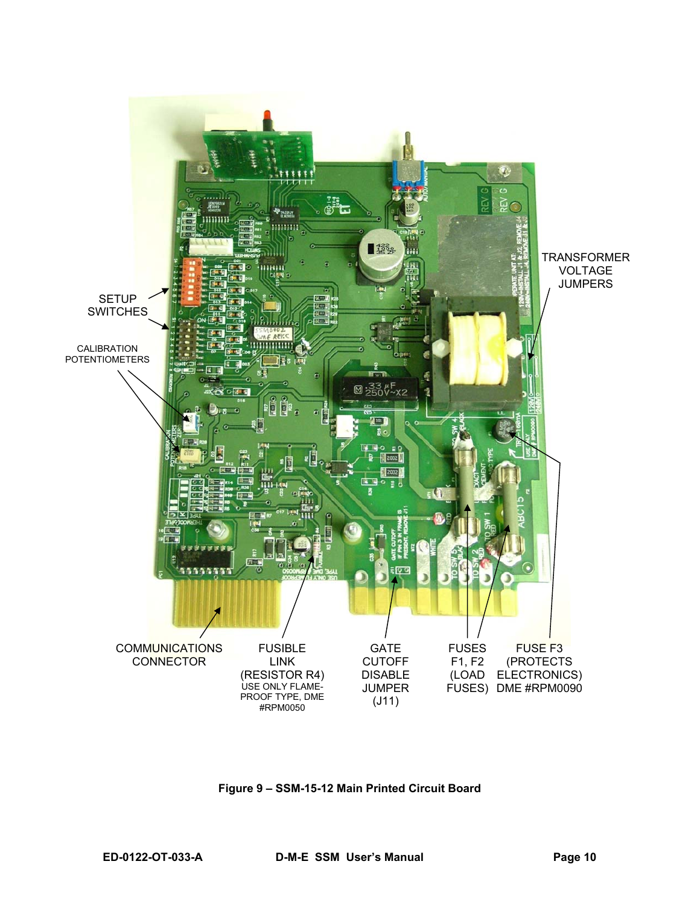

**Figure 9 – SSM-15-12 Main Printed Circuit Board**